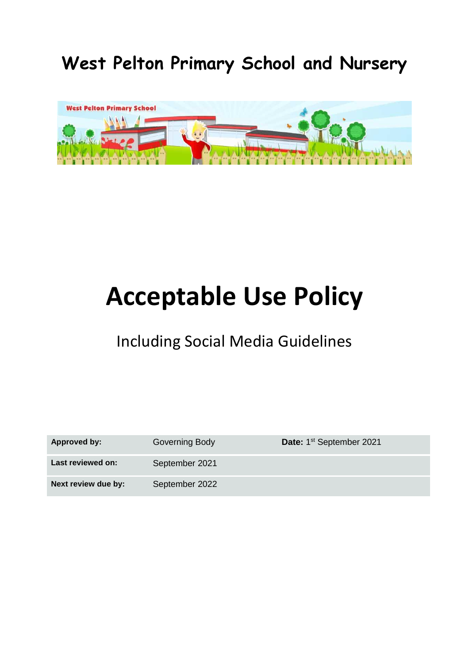**West Pelton Primary School and Nursery**



# **Acceptable Use Policy**

# Including Social Media Guidelines

| Approved by:        | Governing Body | Date: 1 <sup>st</sup> September 2021 |
|---------------------|----------------|--------------------------------------|
| Last reviewed on:   | September 2021 |                                      |
| Next review due by: | September 2022 |                                      |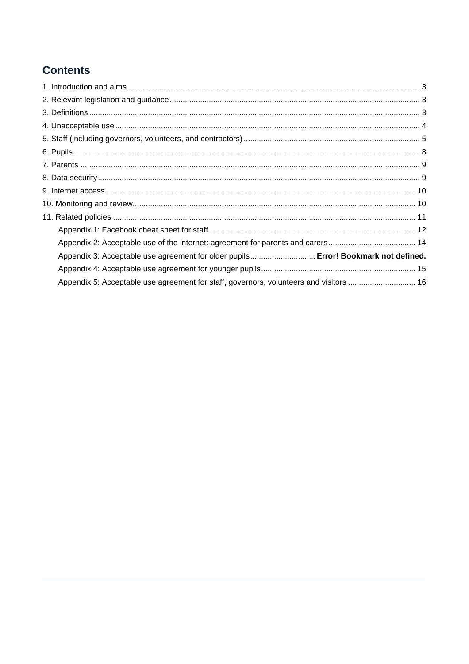# **Contents**

| Appendix 3: Acceptable use agreement for older pupils Error! Bookmark not defined.     |  |
|----------------------------------------------------------------------------------------|--|
|                                                                                        |  |
| Appendix 5: Acceptable use agreement for staff, governors, volunteers and visitors  16 |  |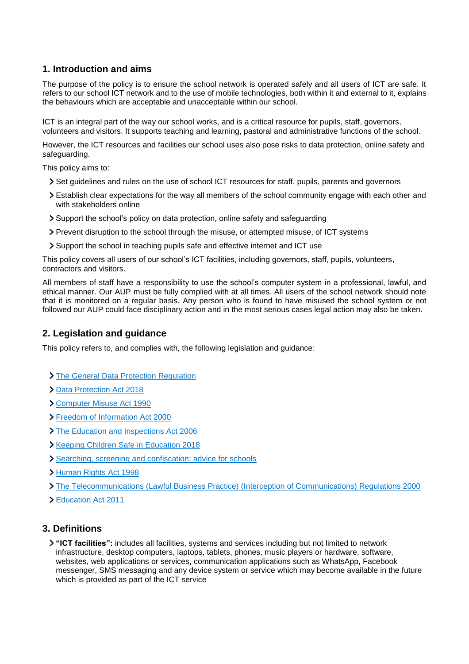# <span id="page-2-0"></span>**1. Introduction and aims**

The purpose of the policy is to ensure the school network is operated safely and all users of ICT are safe. It refers to our school ICT network and to the use of mobile technologies, both within it and external to it, explains the behaviours which are acceptable and unacceptable within our school.

ICT is an integral part of the way our school works, and is a critical resource for pupils, staff, governors, volunteers and visitors. It supports teaching and learning, pastoral and administrative functions of the school.

However, the ICT resources and facilities our school uses also pose risks to data protection, online safety and safeguarding.

This policy aims to:

- Set guidelines and rules on the use of school ICT resources for staff, pupils, parents and governors
- Establish clear expectations for the way all members of the school community engage with each other and with stakeholders online
- Support the school's policy on data protection, online safety and safeguarding
- Prevent disruption to the school through the misuse, or attempted misuse, of ICT systems
- Support the school in teaching pupils safe and effective internet and ICT use

This policy covers all users of our school's ICT facilities, including governors, staff, pupils, volunteers, contractors and visitors.

All members of staff have a responsibility to use the school's computer system in a professional, lawful, and ethical manner. Our AUP must be fully complied with at all times. All users of the school network should note that it is monitored on a regular basis. Any person who is found to have misused the school system or not followed our AUP could face disciplinary action and in the most serious cases legal action may also be taken.

# <span id="page-2-1"></span>**2. Legislation and guidance**

This policy refers to, and complies with, the following legislation and guidance:

- > [The General Data Protection Regulation](https://eur-lex.europa.eu/legal-content/EN/TXT/HTML/?uri=CELEX:32016R0679)
- [Data Protection Act 2018](http://www.legislation.gov.uk/ukpga/2018/12/contents/enacted)
- [Computer Misuse Act 1990](https://www.legislation.gov.uk/ukpga/1990/18/contents)
- [Freedom of Information Act 2000](https://www.legislation.gov.uk/ukpga/2000/36/contents)
- [The Education and Inspections Act 2006](https://www.legislation.gov.uk/ukpga/2006/40/part/7/chapter/1)
- **Xeeping Children Safe in Education 2018**
- [Searching, screening and confiscation: advice for schools](https://www.gov.uk/government/publications/searching-screening-and-confiscation)
- [Human Rights Act 1998](https://www.legislation.gov.uk/ukpga/1998/42/contents)
- [The Telecommunications \(Lawful Business Practice\) \(Interception of Communications\) Regulations 2000](https://www.legislation.gov.uk/uksi/2000/2699/regulation/3/made)
- [Education Act 2011](http://www.legislation.gov.uk/ukpga/2011/21/section/2/enacted)

# <span id="page-2-2"></span>**3. Definitions**

**"ICT facilities":** includes all facilities, systems and services including but not limited to network infrastructure, desktop computers, laptops, tablets, phones, music players or hardware, software, websites, web applications or services, communication applications such as WhatsApp, Facebook messenger, SMS messaging and any device system or service which may become available in the future which is provided as part of the ICT service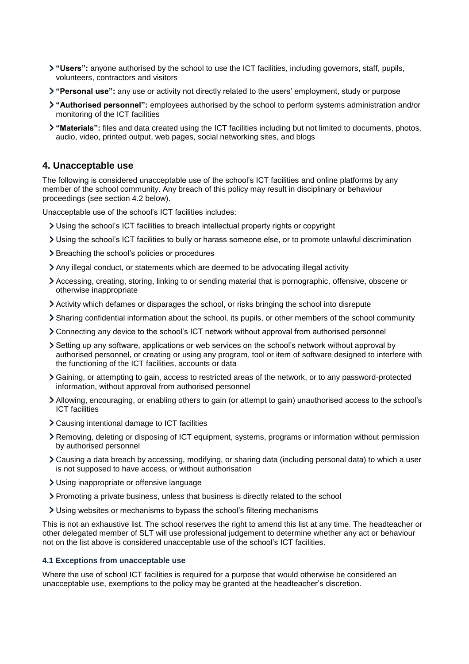- **"Users":** anyone authorised by the school to use the ICT facilities, including governors, staff, pupils, volunteers, contractors and visitors
- **"Personal use":** any use or activity not directly related to the users' employment, study or purpose
- **"Authorised personnel":** employees authorised by the school to perform systems administration and/or monitoring of the ICT facilities
- **"Materials":** files and data created using the ICT facilities including but not limited to documents, photos, audio, video, printed output, web pages, social networking sites, and blogs

#### <span id="page-3-0"></span>**4. Unacceptable use**

The following is considered unacceptable use of the school's ICT facilities and online platforms by any member of the school community. Any breach of this policy may result in disciplinary or behaviour proceedings (see section 4.2 below).

Unacceptable use of the school's ICT facilities includes:

- Using the school's ICT facilities to breach intellectual property rights or copyright
- Using the school's ICT facilities to bully or harass someone else, or to promote unlawful discrimination
- > Breaching the school's policies or procedures
- Any illegal conduct, or statements which are deemed to be advocating illegal activity
- Accessing, creating, storing, linking to or sending material that is pornographic, offensive, obscene or otherwise inappropriate
- Activity which defames or disparages the school, or risks bringing the school into disrepute
- Sharing confidential information about the school, its pupils, or other members of the school community
- Connecting any device to the school's ICT network without approval from authorised personnel
- Setting up any software, applications or web services on the school's network without approval by authorised personnel, or creating or using any program, tool or item of software designed to interfere with the functioning of the ICT facilities, accounts or data
- Gaining, or attempting to gain, access to restricted areas of the network, or to any password-protected information, without approval from authorised personnel
- Allowing, encouraging, or enabling others to gain (or attempt to gain) unauthorised access to the school's ICT facilities
- Causing intentional damage to ICT facilities
- Removing, deleting or disposing of ICT equipment, systems, programs or information without permission by authorised personnel
- Causing a data breach by accessing, modifying, or sharing data (including personal data) to which a user is not supposed to have access, or without authorisation
- Using inappropriate or offensive language
- Promoting a private business, unless that business is directly related to the school
- Using websites or mechanisms to bypass the school's filtering mechanisms

This is not an exhaustive list. The school reserves the right to amend this list at any time. The headteacher or other delegated member of SLT will use professional judgement to determine whether any act or behaviour not on the list above is considered unacceptable use of the school's ICT facilities.

#### **4.1 Exceptions from unacceptable use**

Where the use of school ICT facilities is required for a purpose that would otherwise be considered an unacceptable use, exemptions to the policy may be granted at the headteacher's discretion.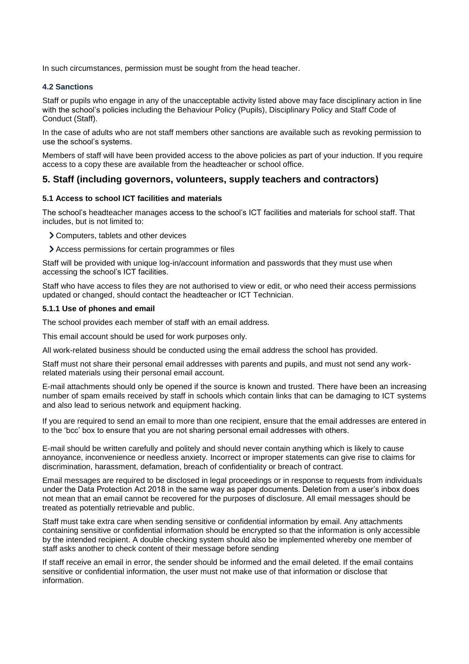In such circumstances, permission must be sought from the head teacher.

#### **4.2 Sanctions**

Staff or pupils who engage in any of the unacceptable activity listed above may face disciplinary action in line with the school's policies including the Behaviour Policy (Pupils), Disciplinary Policy and Staff Code of Conduct (Staff).

In the case of adults who are not staff members other sanctions are available such as revoking permission to use the school's systems.

Members of staff will have been provided access to the above policies as part of your induction. If you require access to a copy these are available from the headteacher or school office.

# <span id="page-4-0"></span>**5. Staff (including governors, volunteers, supply teachers and contractors)**

#### **5.1 Access to school ICT facilities and materials**

The school's headteacher manages access to the school's ICT facilities and materials for school staff. That includes, but is not limited to:

- Computers, tablets and other devices
- Access permissions for certain programmes or files

Staff will be provided with unique log-in/account information and passwords that they must use when accessing the school's ICT facilities.

Staff who have access to files they are not authorised to view or edit, or who need their access permissions updated or changed, should contact the headteacher or ICT Technician.

#### **5.1.1 Use of phones and email**

The school provides each member of staff with an email address.

This email account should be used for work purposes only.

All work-related business should be conducted using the email address the school has provided.

Staff must not share their personal email addresses with parents and pupils, and must not send any workrelated materials using their personal email account.

E-mail attachments should only be opened if the source is known and trusted. There have been an increasing number of spam emails received by staff in schools which contain links that can be damaging to ICT systems and also lead to serious network and equipment hacking.

If you are required to send an email to more than one recipient, ensure that the email addresses are entered in to the 'bcc' box to ensure that you are not sharing personal email addresses with others.

E-mail should be written carefully and politely and should never contain anything which is likely to cause annoyance, inconvenience or needless anxiety. Incorrect or improper statements can give rise to claims for discrimination, harassment, defamation, breach of confidentiality or breach of contract.

Email messages are required to be disclosed in legal proceedings or in response to requests from individuals under the Data Protection Act 2018 in the same way as paper documents. Deletion from a user's inbox does not mean that an email cannot be recovered for the purposes of disclosure. All email messages should be treated as potentially retrievable and public.

Staff must take extra care when sending sensitive or confidential information by email. Any attachments containing sensitive or confidential information should be encrypted so that the information is only accessible by the intended recipient. A double checking system should also be implemented whereby one member of staff asks another to check content of their message before sending

If staff receive an email in error, the sender should be informed and the email deleted. If the email contains sensitive or confidential information, the user must not make use of that information or disclose that information.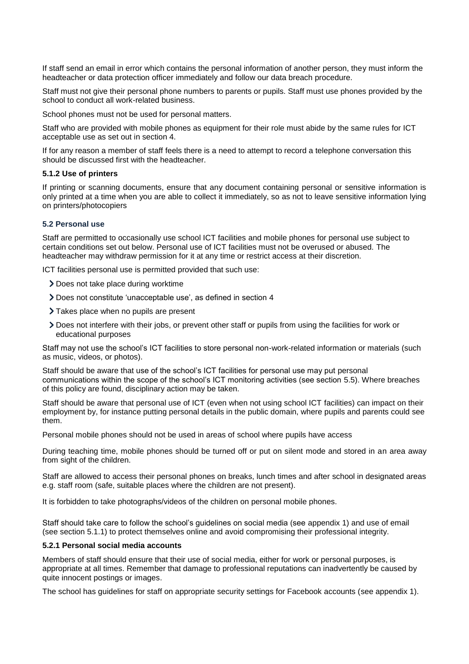If staff send an email in error which contains the personal information of another person, they must inform the headteacher or data protection officer immediately and follow our data breach procedure.

Staff must not give their personal phone numbers to parents or pupils. Staff must use phones provided by the school to conduct all work-related business.

School phones must not be used for personal matters.

Staff who are provided with mobile phones as equipment for their role must abide by the same rules for ICT acceptable use as set out in section 4.

If for any reason a member of staff feels there is a need to attempt to record a telephone conversation this should be discussed first with the headteacher.

#### **5.1.2 Use of printers**

If printing or scanning documents, ensure that any document containing personal or sensitive information is only printed at a time when you are able to collect it immediately, so as not to leave sensitive information lying on printers/photocopiers

#### **5.2 Personal use**

Staff are permitted to occasionally use school ICT facilities and mobile phones for personal use subject to certain conditions set out below. Personal use of ICT facilities must not be overused or abused. The headteacher may withdraw permission for it at any time or restrict access at their discretion.

ICT facilities personal use is permitted provided that such use:

- Does not take place during worktime
- Does not constitute 'unacceptable use', as defined in section 4
- > Takes place when no pupils are present
- Does not interfere with their jobs, or prevent other staff or pupils from using the facilities for work or educational purposes

Staff may not use the school's ICT facilities to store personal non-work-related information or materials (such as music, videos, or photos).

Staff should be aware that use of the school's ICT facilities for personal use may put personal communications within the scope of the school's ICT monitoring activities (see section 5.5). Where breaches of this policy are found, disciplinary action may be taken.

Staff should be aware that personal use of ICT (even when not using school ICT facilities) can impact on their employment by, for instance putting personal details in the public domain, where pupils and parents could see them.

Personal mobile phones should not be used in areas of school where pupils have access

During teaching time, mobile phones should be turned off or put on silent mode and stored in an area away from sight of the children.

Staff are allowed to access their personal phones on breaks, lunch times and after school in designated areas e.g. staff room (safe, suitable places where the children are not present).

It is forbidden to take photographs/videos of the children on personal mobile phones.

Staff should take care to follow the school's guidelines on social media (see appendix 1) and use of email (see section 5.1.1) to protect themselves online and avoid compromising their professional integrity.

#### **5.2.1 Personal social media accounts**

Members of staff should ensure that their use of social media, either for work or personal purposes, is appropriate at all times. Remember that damage to professional reputations can inadvertently be caused by quite innocent postings or images.

The school has guidelines for staff on appropriate security settings for Facebook accounts (see appendix 1).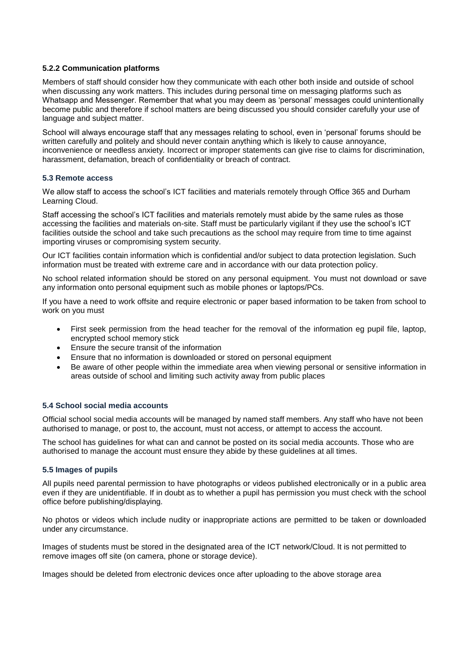#### **5.2.2 Communication platforms**

Members of staff should consider how they communicate with each other both inside and outside of school when discussing any work matters. This includes during personal time on messaging platforms such as Whatsapp and Messenger. Remember that what you may deem as 'personal' messages could unintentionally become public and therefore if school matters are being discussed you should consider carefully your use of language and subject matter.

School will always encourage staff that any messages relating to school, even in 'personal' forums should be written carefully and politely and should never contain anything which is likely to cause annoyance, inconvenience or needless anxiety. Incorrect or improper statements can give rise to claims for discrimination, harassment, defamation, breach of confidentiality or breach of contract.

#### **5.3 Remote access**

We allow staff to access the school's ICT facilities and materials remotely through Office 365 and Durham Learning Cloud.

Staff accessing the school's ICT facilities and materials remotely must abide by the same rules as those accessing the facilities and materials on-site. Staff must be particularly vigilant if they use the school's ICT facilities outside the school and take such precautions as the school may require from time to time against importing viruses or compromising system security.

Our ICT facilities contain information which is confidential and/or subject to data protection legislation. Such information must be treated with extreme care and in accordance with our data protection policy.

No school related information should be stored on any personal equipment. You must not download or save any information onto personal equipment such as mobile phones or laptops/PCs.

If you have a need to work offsite and require electronic or paper based information to be taken from school to work on you must

- First seek permission from the head teacher for the removal of the information eg pupil file, laptop, encrypted school memory stick
- Ensure the secure transit of the information
- Ensure that no information is downloaded or stored on personal equipment
- Be aware of other people within the immediate area when viewing personal or sensitive information in areas outside of school and limiting such activity away from public places

#### **5.4 School social media accounts**

Official school social media accounts will be managed by named staff members. Any staff who have not been authorised to manage, or post to, the account, must not access, or attempt to access the account.

The school has guidelines for what can and cannot be posted on its social media accounts. Those who are authorised to manage the account must ensure they abide by these guidelines at all times.

#### **5.5 Images of pupils**

All pupils need parental permission to have photographs or videos published electronically or in a public area even if they are unidentifiable. If in doubt as to whether a pupil has permission you must check with the school office before publishing/displaying.

No photos or videos which include nudity or inappropriate actions are permitted to be taken or downloaded under any circumstance.

Images of students must be stored in the designated area of the ICT network/Cloud. It is not permitted to remove images off site (on camera, phone or storage device).

Images should be deleted from electronic devices once after uploading to the above storage area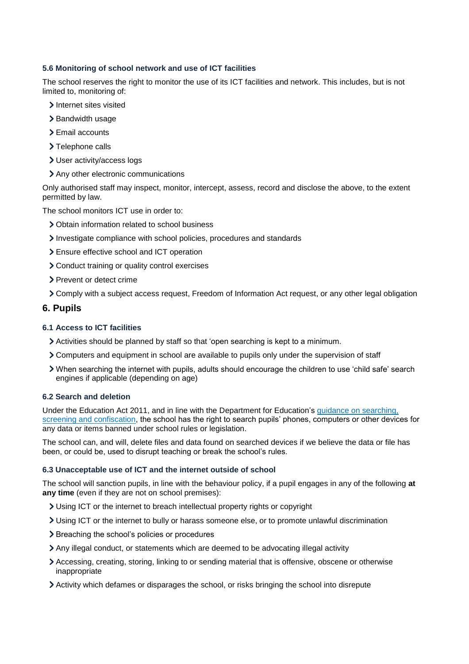#### **5.6 Monitoring of school network and use of ICT facilities**

The school reserves the right to monitor the use of its ICT facilities and network. This includes, but is not limited to, monitoring of:

- > Internet sites visited
- > Bandwidth usage
- > Email accounts
- > Telephone calls
- User activity/access logs
- Any other electronic communications

Only authorised staff may inspect, monitor, intercept, assess, record and disclose the above, to the extent permitted by law.

The school monitors ICT use in order to:

- Obtain information related to school business
- Investigate compliance with school policies, procedures and standards
- Ensure effective school and ICT operation
- Conduct training or quality control exercises
- > Prevent or detect crime
- Comply with a subject access request, Freedom of Information Act request, or any other legal obligation

# <span id="page-7-0"></span>**6. Pupils**

### **6.1 Access to ICT facilities**

- Activities should be planned by staff so that 'open searching is kept to a minimum.
- Computers and equipment in school are available to pupils only under the supervision of staff
- When searching the internet with pupils, adults should encourage the children to use 'child safe' search engines if applicable (depending on age)

#### **6.2 Search and deletion**

Under the Education Act 2011, and in line with the Department for Education's [guidance on searching,](https://www.gov.uk/government/publications/searching-screening-and-confiscation)  [screening and confiscation,](https://www.gov.uk/government/publications/searching-screening-and-confiscation) the school has the right to search pupils' phones, computers or other devices for any data or items banned under school rules or legislation.

The school can, and will, delete files and data found on searched devices if we believe the data or file has been, or could be, used to disrupt teaching or break the school's rules.

#### **6.3 Unacceptable use of ICT and the internet outside of school**

The school will sanction pupils, in line with the behaviour policy, if a pupil engages in any of the following **at any time** (even if they are not on school premises):

- Using ICT or the internet to breach intellectual property rights or copyright
- Using ICT or the internet to bully or harass someone else, or to promote unlawful discrimination
- > Breaching the school's policies or procedures
- Any illegal conduct, or statements which are deemed to be advocating illegal activity
- Accessing, creating, storing, linking to or sending material that is offensive, obscene or otherwise inappropriate
- Activity which defames or disparages the school, or risks bringing the school into disrepute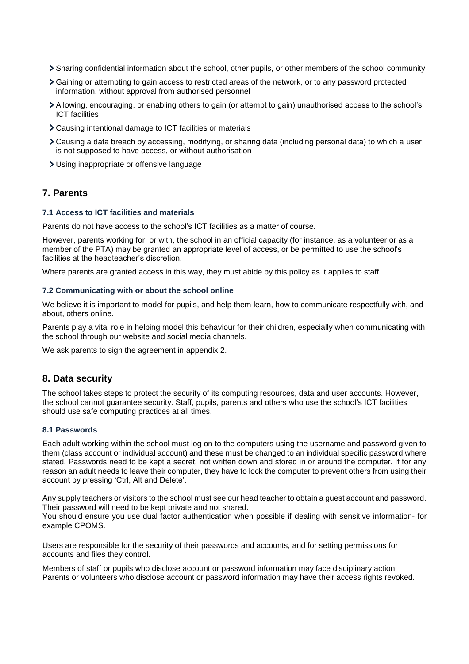- Sharing confidential information about the school, other pupils, or other members of the school community
- Gaining or attempting to gain access to restricted areas of the network, or to any password protected information, without approval from authorised personnel
- Allowing, encouraging, or enabling others to gain (or attempt to gain) unauthorised access to the school's ICT facilities
- Causing intentional damage to ICT facilities or materials
- Causing a data breach by accessing, modifying, or sharing data (including personal data) to which a user is not supposed to have access, or without authorisation
- Using inappropriate or offensive language

#### <span id="page-8-0"></span>**7. Parents**

#### **7.1 Access to ICT facilities and materials**

Parents do not have access to the school's ICT facilities as a matter of course.

However, parents working for, or with, the school in an official capacity (for instance, as a volunteer or as a member of the PTA) may be granted an appropriate level of access, or be permitted to use the school's facilities at the headteacher's discretion.

Where parents are granted access in this way, they must abide by this policy as it applies to staff.

#### **7.2 Communicating with or about the school online**

We believe it is important to model for pupils, and help them learn, how to communicate respectfully with, and about, others online.

Parents play a vital role in helping model this behaviour for their children, especially when communicating with the school through our website and social media channels.

We ask parents to sign the agreement in appendix 2.

#### <span id="page-8-1"></span>**8. Data security**

The school takes steps to protect the security of its computing resources, data and user accounts. However, the school cannot guarantee security. Staff, pupils, parents and others who use the school's ICT facilities should use safe computing practices at all times.

#### **8.1 Passwords**

Each adult working within the school must log on to the computers using the username and password given to them (class account or individual account) and these must be changed to an individual specific password where stated. Passwords need to be kept a secret, not written down and stored in or around the computer. If for any reason an adult needs to leave their computer, they have to lock the computer to prevent others from using their account by pressing 'Ctrl, Alt and Delete'.

Any supply teachers or visitors to the school must see our head teacher to obtain a guest account and password. Their password will need to be kept private and not shared.

You should ensure you use dual factor authentication when possible if dealing with sensitive information- for example CPOMS.

Users are responsible for the security of their passwords and accounts, and for setting permissions for accounts and files they control.

Members of staff or pupils who disclose account or password information may face disciplinary action. Parents or volunteers who disclose account or password information may have their access rights revoked.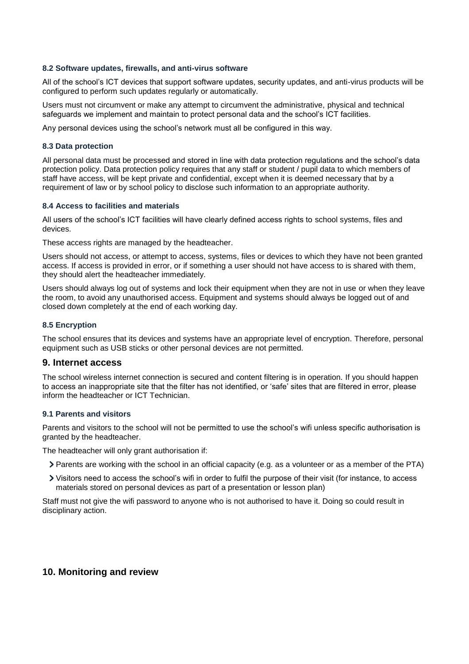#### **8.2 Software updates, firewalls, and anti-virus software**

All of the school's ICT devices that support software updates, security updates, and anti-virus products will be configured to perform such updates regularly or automatically.

Users must not circumvent or make any attempt to circumvent the administrative, physical and technical safeguards we implement and maintain to protect personal data and the school's ICT facilities.

Any personal devices using the school's network must all be configured in this way.

#### **8.3 Data protection**

All personal data must be processed and stored in line with data protection regulations and the school's data protection policy. Data protection policy requires that any staff or student / pupil data to which members of staff have access, will be kept private and confidential, except when it is deemed necessary that by a requirement of law or by school policy to disclose such information to an appropriate authority.

#### **8.4 Access to facilities and materials**

All users of the school's ICT facilities will have clearly defined access rights to school systems, files and devices.

These access rights are managed by the headteacher.

Users should not access, or attempt to access, systems, files or devices to which they have not been granted access. If access is provided in error, or if something a user should not have access to is shared with them, they should alert the headteacher immediately.

Users should always log out of systems and lock their equipment when they are not in use or when they leave the room, to avoid any unauthorised access. Equipment and systems should always be logged out of and closed down completely at the end of each working day.

#### **8.5 Encryption**

The school ensures that its devices and systems have an appropriate level of encryption. Therefore, personal equipment such as USB sticks or other personal devices are not permitted.

#### <span id="page-9-0"></span>**9. Internet access**

The school wireless internet connection is secured and content filtering is in operation. If you should happen to access an inappropriate site that the filter has not identified, or 'safe' sites that are filtered in error, please inform the headteacher or ICT Technician.

#### **9.1 Parents and visitors**

Parents and visitors to the school will not be permitted to use the school's wifi unless specific authorisation is granted by the headteacher.

The headteacher will only grant authorisation if:

- Parents are working with the school in an official capacity (e.g. as a volunteer or as a member of the PTA)
- Visitors need to access the school's wifi in order to fulfil the purpose of their visit (for instance, to access materials stored on personal devices as part of a presentation or lesson plan)

Staff must not give the wifi password to anyone who is not authorised to have it. Doing so could result in disciplinary action.

#### <span id="page-9-1"></span>**10. Monitoring and review**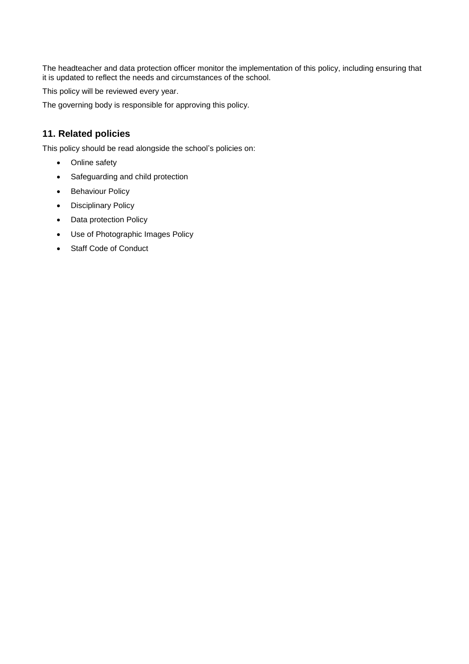The headteacher and data protection officer monitor the implementation of this policy, including ensuring that it is updated to reflect the needs and circumstances of the school.

This policy will be reviewed every year.

The governing body is responsible for approving this policy.

# <span id="page-10-0"></span>**11. Related policies**

This policy should be read alongside the school's policies on:

- Online safety
- Safeguarding and child protection
- Behaviour Policy
- Disciplinary Policy
- Data protection Policy
- Use of Photographic Images Policy
- Staff Code of Conduct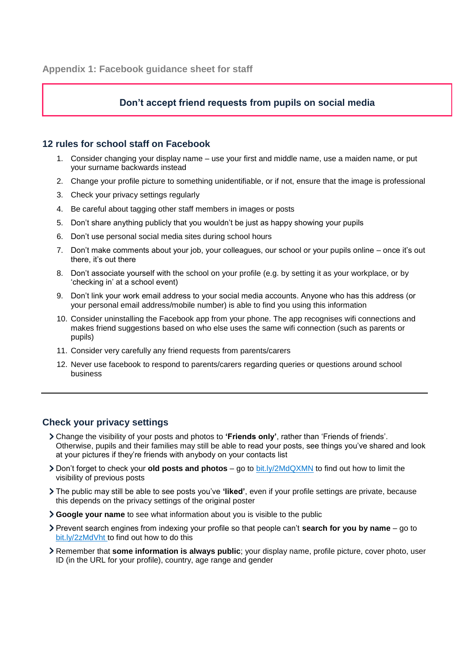# **Don't accept friend requests from pupils on social media**

### <span id="page-11-0"></span>**12 rules for school staff on Facebook**

- 1. Consider changing your display name use your first and middle name, use a maiden name, or put your surname backwards instead
- 2. Change your profile picture to something unidentifiable, or if not, ensure that the image is professional
- 3. Check your privacy settings regularly
- 4. Be careful about tagging other staff members in images or posts
- 5. Don't share anything publicly that you wouldn't be just as happy showing your pupils
- 6. Don't use personal social media sites during school hours
- 7. Don't make comments about your job, your colleagues, our school or your pupils online once it's out there, it's out there
- 8. Don't associate yourself with the school on your profile (e.g. by setting it as your workplace, or by 'checking in' at a school event)
- 9. Don't link your work email address to your social media accounts. Anyone who has this address (or your personal email address/mobile number) is able to find you using this information
- 10. Consider uninstalling the Facebook app from your phone. The app recognises wifi connections and makes friend suggestions based on who else uses the same wifi connection (such as parents or pupils)
- 11. Consider very carefully any friend requests from parents/carers
- 12. Never use facebook to respond to parents/carers regarding queries or questions around school business

# **Check your privacy settings**

- Change the visibility of your posts and photos to **'Friends only'**, rather than 'Friends of friends'. Otherwise, pupils and their families may still be able to read your posts, see things you've shared and look at your pictures if they're friends with anybody on your contacts list
- Don't forget to check your **old posts and photos** go to [bit.ly/2MdQXMN](https://www.facebook.com/help/iphone-app/236898969688346?helpref=uf_permalink) to find out how to limit the visibility of previous posts
- The public may still be able to see posts you've **'liked'**, even if your profile settings are private, because this depends on the privacy settings of the original poster
- **Google your name** to see what information about you is visible to the public
- Prevent search engines from indexing your profile so that people can't **search for you by name** go to [bit.ly/2zMdVht t](https://www.facebook.com/help/124518907626945?helpref=faq_content)o find out how to do this
- Remember that **some information is always public**; your display name, profile picture, cover photo, user ID (in the URL for your profile), country, age range and gender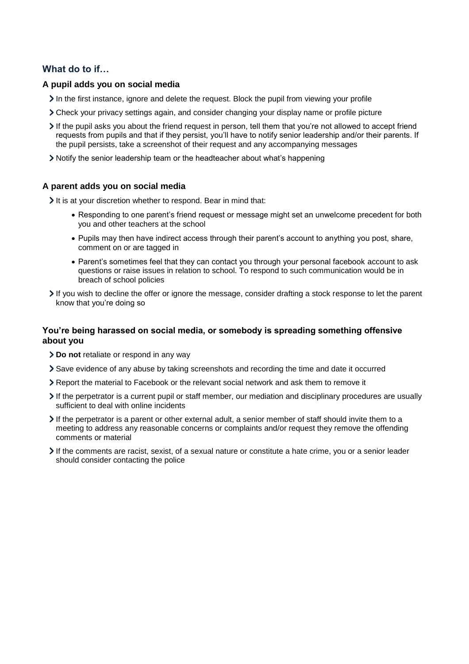# **What do to if…**

#### **A pupil adds you on social media**

- In the first instance, ignore and delete the request. Block the pupil from viewing your profile
- Check your privacy settings again, and consider changing your display name or profile picture
- If the pupil asks you about the friend request in person, tell them that you're not allowed to accept friend requests from pupils and that if they persist, you'll have to notify senior leadership and/or their parents. If the pupil persists, take a screenshot of their request and any accompanying messages
- Notify the senior leadership team or the headteacher about what's happening

#### **A parent adds you on social media**

It is at your discretion whether to respond. Bear in mind that:

- Responding to one parent's friend request or message might set an unwelcome precedent for both you and other teachers at the school
- Pupils may then have indirect access through their parent's account to anything you post, share, comment on or are tagged in
- Parent's sometimes feel that they can contact you through your personal facebook account to ask questions or raise issues in relation to school. To respond to such communication would be in breach of school policies
- If you wish to decline the offer or ignore the message, consider drafting a stock response to let the parent know that you're doing so

### **You're being harassed on social media, or somebody is spreading something offensive about you**

- **Do not** retaliate or respond in any way
- Save evidence of any abuse by taking screenshots and recording the time and date it occurred
- Report the material to Facebook or the relevant social network and ask them to remove it
- If the perpetrator is a current pupil or staff member, our mediation and disciplinary procedures are usually sufficient to deal with online incidents
- If the perpetrator is a parent or other external adult, a senior member of staff should invite them to a meeting to address any reasonable concerns or complaints and/or request they remove the offending comments or material
- If the comments are racist, sexist, of a sexual nature or constitute a hate crime, you or a senior leader should consider contacting the police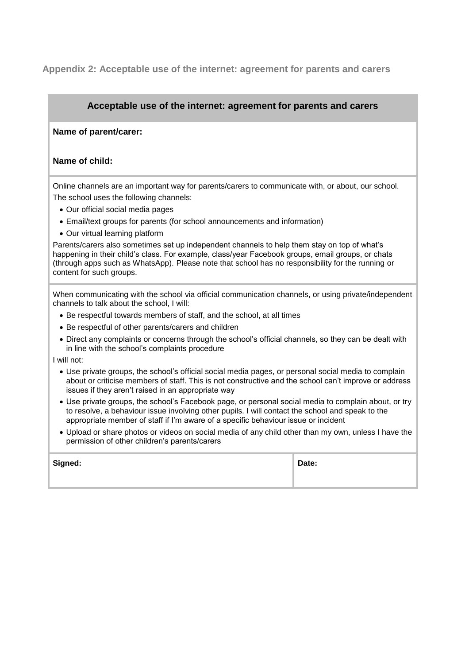# <span id="page-13-0"></span>**Appendix 2: Acceptable use of the internet: agreement for parents and carers**

# **Acceptable use of the internet: agreement for parents and carers**

#### **Name of parent/carer:**

#### **Name of child:**

Online channels are an important way for parents/carers to communicate with, or about, our school. The school uses the following channels:

- Our official social media pages
- Email/text groups for parents (for school announcements and information)
- Our virtual learning platform

Parents/carers also sometimes set up independent channels to help them stay on top of what's happening in their child's class. For example, class/year Facebook groups, email groups, or chats (through apps such as WhatsApp). Please note that school has no responsibility for the running or content for such groups.

When communicating with the school via official communication channels, or using private/independent channels to talk about the school, I will:

- Be respectful towards members of staff, and the school, at all times
- Be respectful of other parents/carers and children
- Direct any complaints or concerns through the school's official channels, so they can be dealt with in line with the school's complaints procedure

I will not:

- Use private groups, the school's official social media pages, or personal social media to complain about or criticise members of staff. This is not constructive and the school can't improve or address issues if they aren't raised in an appropriate way
- Use private groups, the school's Facebook page, or personal social media to complain about, or try to resolve, a behaviour issue involving other pupils. I will contact the school and speak to the appropriate member of staff if I'm aware of a specific behaviour issue or incident
- Upload or share photos or videos on social media of any child other than my own, unless I have the permission of other children's parents/carers

| Signed: | Date: |
|---------|-------|
|         |       |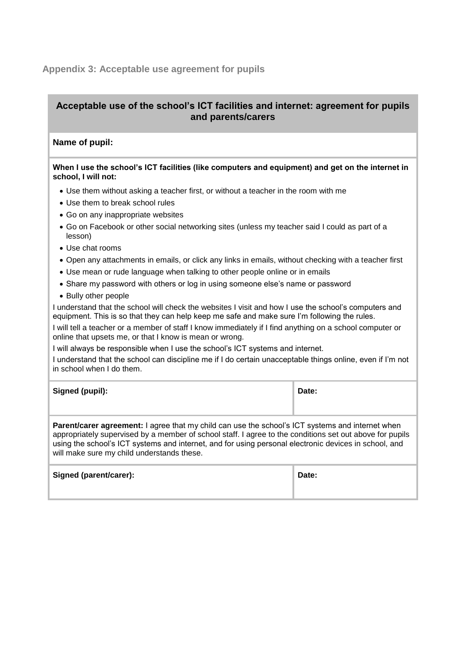# <span id="page-14-0"></span>**Appendix 3: Acceptable use agreement for pupils**

# **Acceptable use of the school's ICT facilities and internet: agreement for pupils and parents/carers**

## **Name of pupil:**

| When I use the school's ICT facilities (like computers and equipment) and get on the internet in |
|--------------------------------------------------------------------------------------------------|
| school, I will not:                                                                              |

- Use them without asking a teacher first, or without a teacher in the room with me
- Use them to break school rules
- Go on any inappropriate websites
- Go on Facebook or other social networking sites (unless my teacher said I could as part of a lesson)
- Use chat rooms
- Open any attachments in emails, or click any links in emails, without checking with a teacher first
- Use mean or rude language when talking to other people online or in emails
- Share my password with others or log in using someone else's name or password
- Bully other people

I understand that the school will check the websites I visit and how I use the school's computers and equipment. This is so that they can help keep me safe and make sure I'm following the rules.

I will tell a teacher or a member of staff I know immediately if I find anything on a school computer or online that upsets me, or that I know is mean or wrong.

I will always be responsible when I use the school's ICT systems and internet.

I understand that the school can discipline me if I do certain unacceptable things online, even if I'm not in school when I do them.

| Signed (pupil): | Date: |
|-----------------|-------|
|                 |       |

**Parent/carer agreement:** I agree that my child can use the school's ICT systems and internet when appropriately supervised by a member of school staff. I agree to the conditions set out above for pupils using the school's ICT systems and internet, and for using personal electronic devices in school, and will make sure my child understands these.

| Signed (parent/carer): | Date: |
|------------------------|-------|
|                        |       |